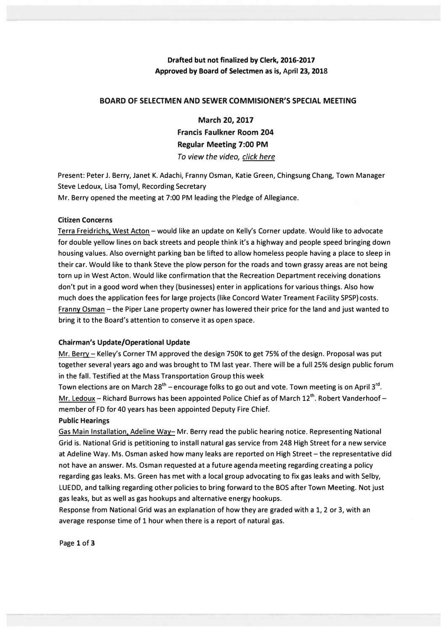## **Drafted but not finalized by Clerk, 2016-2017 Approved by Board of Selectmen as is, April 23, 2018**

### **BOARD OF SELECTMEN AND SEWER COMMISIONER'S SPECIAL MEETING**

**March 20, 2017 Francis Faulkner Room 204 Regular Meeting 7:00 PM**  *To view the video, click here* 

**Present: Peter J. Berry, Janet K. Adachi, Franny Osman, Katie Green, Chingsung Chang, Town Manager Steve Ledoux, Lisa Tomyl, Recording Secretary Mr. Berry opened the meeting at 7:00 PM leading the Pledge of Allegiance.** 

### **Citizen Concerns**

**Terra Freidrichs. West Acton -would like an update on Kelly's Corner update. Would like to advocate for double yellow lines on back streets and people think it's a highway and people speed bringing down housing values. Also overnight parking ban be lifted to allow homeless people having a place to sleep in their car. Would like to thank Steve the plow person for the roads and town grassy areas are not being torn up in West Acton. Would like confirmation that the Recreation Department receiving donations don't put in a good word when they (businesses) enter in applications for various things. Also how much does the application fees for large projects (like Concord Water Treament Facility SPSP) costs.**  Franny Osman - the Piper Lane property owner has lowered their price for the land and just wanted to **bring it to the Board's attention to conserve it as open space.** 

### **Chairman's Update/Operational Update**

Mr. Berry - Kelley's Corner TM approved the design 750K to get 75% of the design. Proposal was put **together several years ago and was brought to TM last year. There will be a full 25% design public forum in the fall. Testified at the Mass Transportation Group this week** 

Town elections are on March 28<sup>th</sup> – encourage folks to go out and vote. Town meeting is on April 3<sup>rd</sup>. Mr. Ledoux - Richard Burrows has been appointed Police Chief as of March 12<sup>th</sup>. Robert Vanderhoof **member of FD for 40 years has been appointed Deputy Fire Chief.** 

# **Public Hearings**

**Gas Main Installation. Adeline Way-Mr. Berry read the public hearing notice. Representing National Grid is. National Grid is petitioning to install natural gas service from 248 High Street for a new service at Adeline Way. Ms. Osman asked how many leaks are reported on High Street-the representative did not have an answer. Ms. Osman requested at a future agenda meeting regarding creating a policy regarding gas leaks. Ms. Green has met with a local group advocating to fix gas leaks and with Selby, LU EDD, and talking regarding other policies to bring forward to the BOS after Town Meeting. Not just gas leaks, but as well as gas hookups and alternative energy hookups.** 

**Response from National Grid was an explanation of how they are graded with a 1, 2 or 3, with an average response time of 1 hour when there is a report of natural gas.** 

**Page 1 of 3**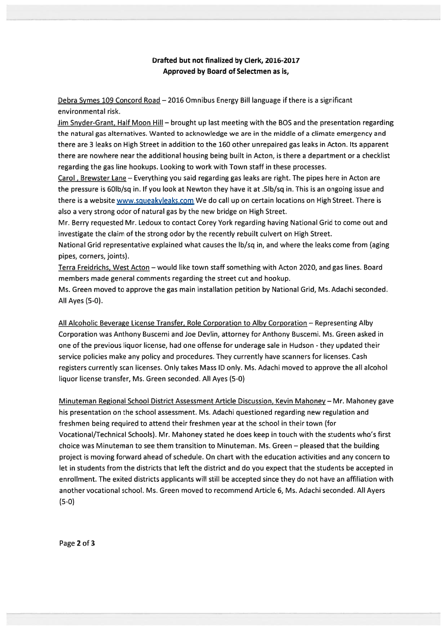## Drafted but not finalized by Clerk, 2016-2017 Approved by Board of Selectmen as is,

Debra Symes 109 Concord Road —2016 Omnibus Energy Bill language if there is <sup>a</sup> significant environmental risk.

Jim Snyder-Grant, Half Moon Hill — brought up last meeting with the BOS and the presentation regarding the natural gas alternatives. Wanted to acknowledge we are in the middle of <sup>a</sup> climate emergency and there are 3 leaks on High Street in addition to the 160 other unrepaired gas leaks in Acton. Its apparen<sup>t</sup> there are nowhere near the additional housing being built in Acton, is there <sup>a</sup> department or <sup>a</sup> checklist regarding the gas line hookups. Looking to work with Town staff in these processes.

Carol , Brewster Lane — Everything you said regarding gas leaks are right. The pipes here in Acton are the pressure is 601b/sq in. If you look at Newton they have it at .51b/sq in. This is an ongoing issue and there is a website www.squeakyleaks.com We do call up on certain locations on High Street. There is also <sup>a</sup> very strong odor of natural gas by the new bridge on High Street.

Mr. Berry requested Mr. Ledoux to contact Corey York regarding having National Grid to come out and investigate the claim of the strong odor by the recently rebuilt culvert on High Street.

National Grid representative explained what causes the lb/sq in, and where the leaks come from (aging pipes, corners, joints).

Terra Freidrichs, West Acton — would like town staff something with Acton 2020, and gas lines. Board members made general comments regarding the street cut and hookup.

Ms. Green moved to approve the gas main installation petition by National Grid, Ms. Adachi seconded. All Ayes (5-0).

All Alcoholic Beverage License Transfer, Role Corporation to Alby Corporation — Representing Alby Corporation was Anthony Buscemi and Joe Devlin, attorney for Anthony Buscemi. Ms. Green asked in one of the previous liquor license, had one offense for underage sale in Hudson - they updated their service policies make any policy and procedures. They currently have scanners for licenses. Cash registers currently scan licenses. Only takes Mass ID only. Ms. Adachi moved to approve the all alcohol liquor license transfer, Ms. Green seconded. All Ayes (5-0)

Minuteman Regional School District Assessment Article Discussion, Kevin Mahoney — Mr. Mahoney gave his presentation on the school assessment. Ms. Adachi questioned regarding new regulation and freshmen being required to attend their freshmen year at the school in their town (for Vocational/Technical Schools). Mr. Mahoney stated he does keep in touch with the students who's first choice was Minuteman to see them transition to Minuteman. Ms. Green — pleased that the building project is moving forward ahead of schedule. On chart with the education activities and any concern to let in students from the districts that left the district and do you expec<sup>t</sup> that the students be accepted in enrollment. The exited districts applicants will still be accepted since they do not have an affiliation with another vocational school. Ms. Green moved to recommend Article 6, Ms. Adachi seconded. All Ayers (5-0)

Page 2 of 3